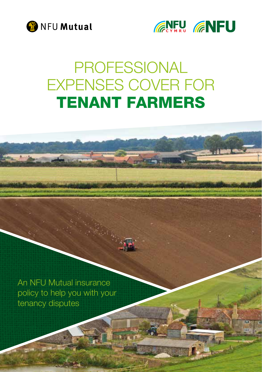



# PROFESSIONAL EXPENSES COVER FOR TENANT FARMERS

An NFU Mutual insurance policy to help you with your tenancy disputes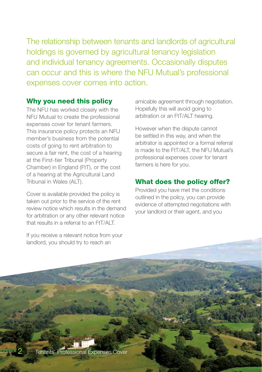The relationship between tenants and landlords of agricultural holdings is governed by agricultural tenancy legislation and individual tenancy agreements. Occasionally disputes can occur and this is where the NFU Mutual's professional expenses cover comes into action.

#### Why you need this policy

The NFU has worked closely with the NFU Mutual to create the professional expenses cover for tenant farmers. This insurance policy protects an NFU member's business from the potential costs of going to rent arbitration to secure a fair rent, the cost of a hearing at the First-tier Tribunal (Property Chamber) in England (FtT), or the cost of a hearing at the Agricultural Land Tribunal in Wales (ALT).

Cover is available provided the policy is taken out prior to the service of the rent review notice which results in the demand for arbitration or any other relevant notice that results in a referral to an FtT/ALT.

If you receive a relevant notice from your landlord, you should try to reach an

amicable agreement through negotiation. Hopefully this will avoid going to arbitration or an FtT/ALT hearing.

However when the dispute cannot be settled in this way, and when the arbitrator is appointed or a formal referral is made to the FtT/ALT, the NFU Mutual's professional expenses cover for tenant farmers is here for you.

### What does the policy offer?

Provided you have met the conditions outlined in the policy, you can provide evidence of attempted negotiations with your landlord or their agent, and you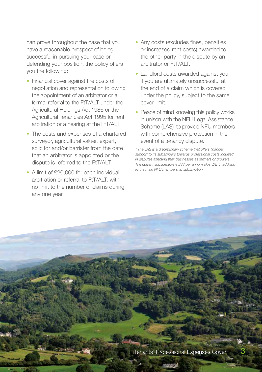can prove throughout the case that you have a reasonable prospect of being successful in pursuing your case or defending your position, the policy offers you the following:

- Financial cover against the costs of negotiation and representation following the appointment of an arbitrator or a formal referral to the FtT/ALT under the Agricultural Holdings Act 1986 or the Agricultural Tenancies Act 1995 for rent arbitration or a hearing at the FtT/ALT.
- The costs and expenses of a chartered surveyor, agricultural valuer, expert, solicitor and/or barrister from the date that an arbitrator is appointed or the dispute is referred to the FtT/ALT.
- A limit of £20,000 for each individual arbitration or referral to FtT/ALT, with no limit to the number of claims during any one year.
- Any costs (excludes fines, penalties or increased rent costs) awarded to the other party in the dispute by an arbitrator or FtT/ALT.
- Landlord costs awarded against you if you are ultimately unsuccessful at the end of a claim which is covered under the policy, subject to the same cover limit.
- Peace of mind knowing this policy works in unison with the NFU Legal Assistance Scheme (LAS)<sup>\*</sup> to provide NFU members with comprehensive protection in the event of a tenancy dispute.

*\* The LAS is a discretionary scheme that offers financial support to its subscribers towards professional costs incurred in disputes affecting their businesses as farmers or growers. The current subscription is £33 per annum plus VAT in addition to the main NFU membership subscription.*